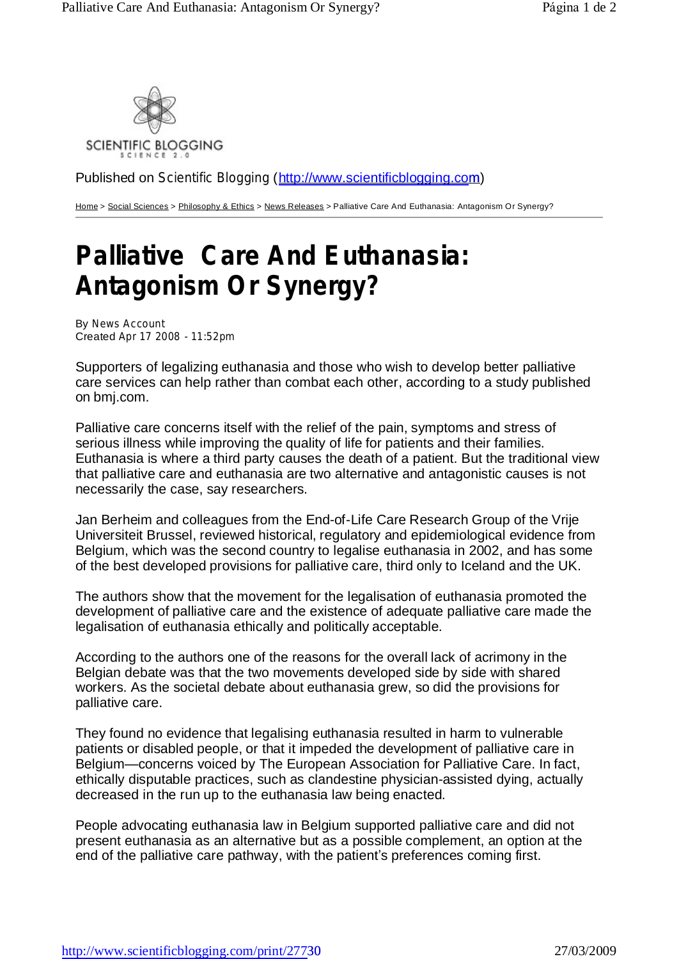

Published on *Scientific Blogging* (<http://www.scientificblogging.com>)

Home > Social Sciences > Philosophy & Ethics > News Releases > Palliative Care And Euthanasia: Antagonism Or Synergy?

## **Palliative Care And Euthanasia: Antagonism Or Synergy?**

By *News Account* Created *Apr 17 2008 - 11:52pm*

Supporters of legalizing euthanasia and those who wish to develop better palliative care services can help rather than combat each other, according to a study published on bmj.com.

Palliative care concerns itself with the relief of the pain, symptoms and stress of serious illness while improving the quality of life for patients and their families. Euthanasia is where a third party causes the death of a patient. But the traditional view that palliative care and euthanasia are two alternative and antagonistic causes is not necessarily the case, say researchers.

Jan Berheim and colleagues from the End-of-Life Care Research Group of the Vrije Universiteit Brussel, reviewed historical, regulatory and epidemiological evidence from Belgium, which was the second country to legalise euthanasia in 2002, and has some of the best developed provisions for palliative care, third only to Iceland and the UK.

The authors show that the movement for the legalisation of euthanasia promoted the development of palliative care and the existence of adequate palliative care made the legalisation of euthanasia ethically and politically acceptable.

According to the authors one of the reasons for the overall lack of acrimony in the Belgian debate was that the two movements developed side by side with shared workers. As the societal debate about euthanasia grew, so did the provisions for palliative care.

They found no evidence that legalising euthanasia resulted in harm to vulnerable patients or disabled people, or that it impeded the development of palliative care in Belgium—concerns voiced by The European Association for Palliative Care. In fact, ethically disputable practices, such as clandestine physician-assisted dying, actually decreased in the run up to the euthanasia law being enacted.

People advocating euthanasia law in Belgium supported palliative care and did not present euthanasia as an alternative but as a possible complement, an option at the end of the palliative care pathway, with the patient's preferences coming first.